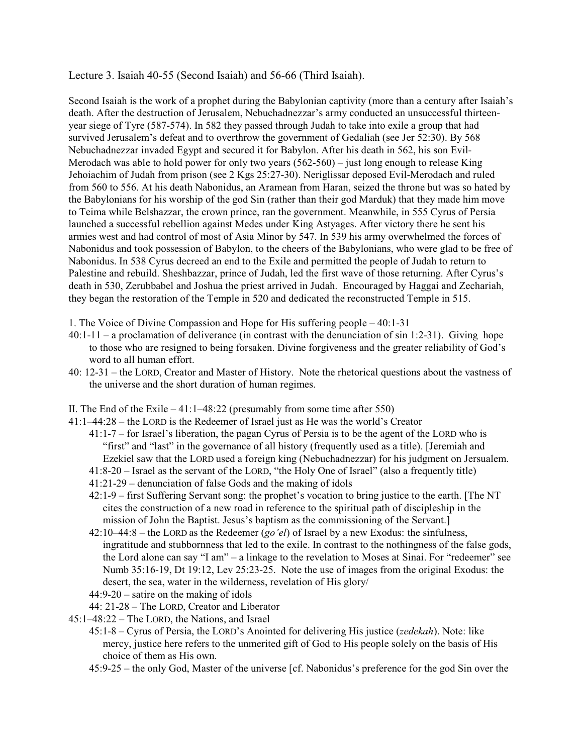Lecture 3. Isaiah 40-55 (Second Isaiah) and 56-66 (Third Isaiah).

Second Isaiah is the work of a prophet during the Babylonian captivity (more than a century after Isaiah's death. After the destruction of Jerusalem, Nebuchadnezzar's army conducted an unsuccessful thirteenyear siege of Tyre (587-574). In 582 they passed through Judah to take into exile a group that had survived Jerusalem's defeat and to overthrow the government of Gedaliah (see Jer 52:30). By 568 Nebuchadnezzar invaded Egypt and secured it for Babylon. After his death in 562, his son Evil-Merodach was able to hold power for only two years (562-560) – just long enough to release King Jehoiachim of Judah from prison (see 2 Kgs 25:27-30). Neriglissar deposed Evil-Merodach and ruled from 560 to 556. At his death Nabonidus, an Aramean from Haran, seized the throne but was so hated by the Babylonians for his worship of the god Sin (rather than their god Marduk) that they made him move to Teima while Belshazzar, the crown prince, ran the government. Meanwhile, in 555 Cyrus of Persia launched a successful rebellion against Medes under King Astyages. After victory there he sent his armies west and had control of most of Asia Minor by 547. In 539 his army overwhelmed the forces of Nabonidus and took possession of Babylon, to the cheers of the Babylonians, who were glad to be free of Nabonidus. In 538 Cyrus decreed an end to the Exile and permitted the people of Judah to return to Palestine and rebuild. Sheshbazzar, prince of Judah, led the first wave of those returning. After Cyrus's death in 530, Zerubbabel and Joshua the priest arrived in Judah. Encouraged by Haggai and Zechariah, they began the restoration of the Temple in 520 and dedicated the reconstructed Temple in 515.

- 1. The Voice of Divine Compassion and Hope for His suffering people 40:1-31
- 40:1-11 a proclamation of deliverance (in contrast with the denunciation of sin 1:2-31). Giving hope to those who are resigned to being forsaken. Divine forgiveness and the greater reliability of God's word to all human effort.
- 40: 12-31 the LORD, Creator and Master of History. Note the rhetorical questions about the vastness of the universe and the short duration of human regimes.
- II. The End of the Exile  $-41:1-48:22$  (presumably from some time after 550)
- 41:1–44:28 the LORD is the Redeemer of Israel just as He was the world's Creator
	- 41:1-7 for Israel's liberation, the pagan Cyrus of Persia is to be the agent of the LORD who is "first" and "last" in the governance of all history (frequently used as a title). [Jeremiah and Ezekiel saw that the LORD used a foreign king (Nebuchadnezzar) for his judgment on Jersualem.
		- 41:8-20 Israel as the servant of the LORD, "the Holy One of Israel" (also a frequently title)
	- 41:21-29 denunciation of false Gods and the making of idols
	- 42:1-9 first Suffering Servant song: the prophet's vocation to bring justice to the earth. [The NT cites the construction of a new road in reference to the spiritual path of discipleship in the mission of John the Baptist. Jesus's baptism as the commissioning of the Servant.]
	- 42:10–44:8 the LORD as the Redeemer (*go'el*) of Israel by a new Exodus: the sinfulness, ingratitude and stubbornness that led to the exile. In contrast to the nothingness of the false gods, the Lord alone can say "I am" – a linkage to the revelation to Moses at Sinai. For "redeemer" see Numb 35:16-19, Dt 19:12, Lev 25:23-25. Note the use of images from the original Exodus: the desert, the sea, water in the wilderness, revelation of His glory/
	- 44:9-20 satire on the making of idols
	- 44: 21-28 The LORD, Creator and Liberator
- 45:1–48:22 The LORD, the Nations, and Israel
	- 45:1-8 Cyrus of Persia, the LORD's Anointed for delivering His justice (*zedekah*). Note: like mercy, justice here refers to the unmerited gift of God to His people solely on the basis of His choice of them as His own.
	- 45:9-25 the only God, Master of the universe [cf. Nabonidus's preference for the god Sin over the